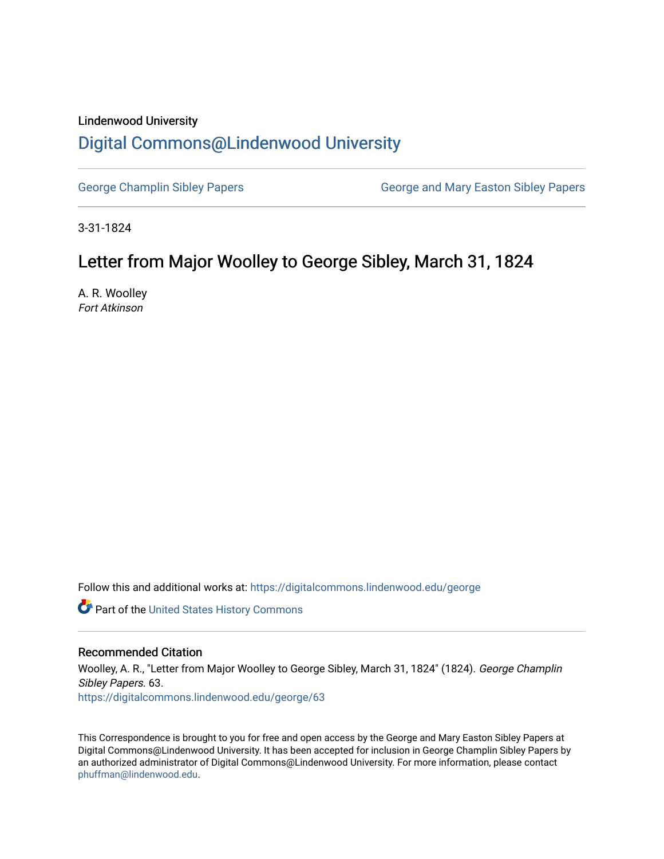### Lindenwood University

# [Digital Commons@Lindenwood University](https://digitalcommons.lindenwood.edu/)

[George Champlin Sibley Papers](https://digitalcommons.lindenwood.edu/george) George and Mary Easton Sibley Papers

3-31-1824

# Letter from Major Woolley to George Sibley, March 31, 1824

A. R. Woolley Fort Atkinson

Follow this and additional works at: [https://digitalcommons.lindenwood.edu/george](https://digitalcommons.lindenwood.edu/george?utm_source=digitalcommons.lindenwood.edu%2Fgeorge%2F63&utm_medium=PDF&utm_campaign=PDFCoverPages)

Part of the [United States History Commons](http://network.bepress.com/hgg/discipline/495?utm_source=digitalcommons.lindenwood.edu%2Fgeorge%2F63&utm_medium=PDF&utm_campaign=PDFCoverPages) 

#### Recommended Citation

Woolley, A. R., "Letter from Major Woolley to George Sibley, March 31, 1824" (1824). George Champlin Sibley Papers. 63. [https://digitalcommons.lindenwood.edu/george/63](https://digitalcommons.lindenwood.edu/george/63?utm_source=digitalcommons.lindenwood.edu%2Fgeorge%2F63&utm_medium=PDF&utm_campaign=PDFCoverPages) 

This Correspondence is brought to you for free and open access by the George and Mary Easton Sibley Papers at Digital Commons@Lindenwood University. It has been accepted for inclusion in George Champlin Sibley Papers by an authorized administrator of Digital Commons@Lindenwood University. For more information, please contact [phuffman@lindenwood.edu](mailto:phuffman@lindenwood.edu).